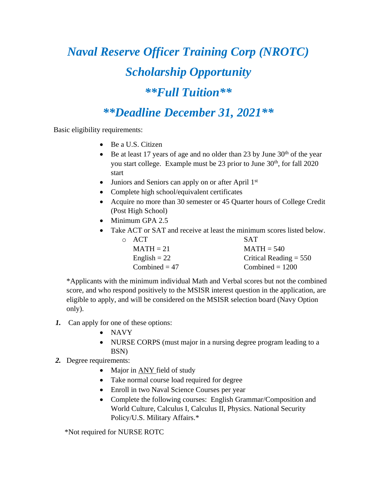## *Naval Reserve Officer Training Corp (NROTC) Scholarship Opportunity \*\*Full Tuition\*\**

*\*\*Deadline December 31, 2021\*\**

**Basic eligibility requirements:** 

- Be a U.S. Citizen
- Be at least 17 years of age and no older than 23 by June  $30<sup>th</sup>$  of the year you start college. Example must be 23 prior to June 30th, for fall 2020 start
- Juniors and Seniors can apply on or after April 1<sup>st</sup>
- Complete high school/equivalent certificates
- Acquire no more than 30 semester or 45 Quarter hours of College Credit (Post High School)
- Minimum GPA 2.5
- Take ACT or SAT and receive at least the minimum scores listed below.

| $\circ$ ACT     | <b>SAT</b>               |
|-----------------|--------------------------|
| $MATH = 21$     | $MATH = 540$             |
| English $= 22$  | Critical Reading $= 550$ |
| Combined = $47$ | Combined $= 1200$        |

\*Applicants with the minimum individual Math and Verbal scores but not the combined score, and who respond positively to the MSISR interest question in the application, are eligible to apply, and will be considered on the MSISR selection board (Navy Option only).

- *1.* Can apply for one of these options:
	- NAVY
	- NURSE CORPS (must major in a nursing degree program leading to a BSN)
- *2.* Degree requirements:
	- Major in **ANY** field of study
	- Take normal course load required for degree
	- Enroll in two Naval Science Courses per year
	- Complete the following courses: English Grammar/Composition and World Culture, Calculus I, Calculus II, Physics. National Security Policy/U.S. Military Affairs.\*

\*Not required for NURSE ROTC